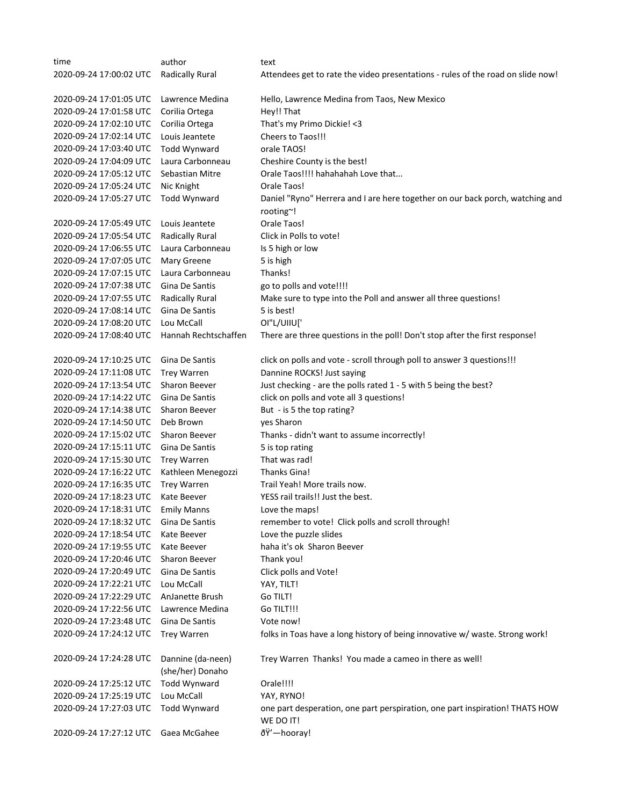| time                    | author                 | text                                                                                      |
|-------------------------|------------------------|-------------------------------------------------------------------------------------------|
| 2020-09-24 17:00:02 UTC | <b>Radically Rural</b> | Attendees get to rate the video presentations - rules of the road on slide now!           |
|                         |                        |                                                                                           |
| 2020-09-24 17:01:05 UTC | Lawrence Medina        | Hello, Lawrence Medina from Taos, New Mexico                                              |
| 2020-09-24 17:01:58 UTC | Corilia Ortega         | Hey!! That                                                                                |
| 2020-09-24 17:02:10 UTC | Corilia Ortega         | That's my Primo Dickie! < 3                                                               |
| 2020-09-24 17:02:14 UTC | Louis Jeantete         | Cheers to Taos!!!                                                                         |
| 2020-09-24 17:03:40 UTC | Todd Wynward           | orale TAOS!                                                                               |
| 2020-09-24 17:04:09 UTC | Laura Carbonneau       | Cheshire County is the best!                                                              |
| 2020-09-24 17:05:12 UTC | Sebastian Mitre        | Orale Taos!!!! hahahahah Love that                                                        |
| 2020-09-24 17:05:24 UTC | Nic Knight             | Orale Taos!                                                                               |
| 2020-09-24 17:05:27 UTC | <b>Todd Wynward</b>    | Daniel "Ryno" Herrera and I are here together on our back porch, watching and             |
|                         |                        | rooting~!                                                                                 |
| 2020-09-24 17:05:49 UTC | Louis Jeantete         | Orale Taos!                                                                               |
| 2020-09-24 17:05:54 UTC | <b>Radically Rural</b> | Click in Polls to vote!                                                                   |
| 2020-09-24 17:06:55 UTC | Laura Carbonneau       | Is 5 high or low                                                                          |
| 2020-09-24 17:07:05 UTC | Mary Greene            | 5 is high                                                                                 |
| 2020-09-24 17:07:15 UTC | Laura Carbonneau       | Thanks!                                                                                   |
| 2020-09-24 17:07:38 UTC | Gina De Santis         | go to polls and vote!!!!                                                                  |
| 2020-09-24 17:07:55 UTC | <b>Radically Rural</b> | Make sure to type into the Poll and answer all three questions!                           |
| 2020-09-24 17:08:14 UTC | Gina De Santis         | 5 is best!                                                                                |
| 2020-09-24 17:08:20 UTC | Lou McCall             | OI"L/UIIU['                                                                               |
| 2020-09-24 17:08:40 UTC | Hannah Rechtschaffen   | There are three questions in the poll! Don't stop after the first response!               |
|                         |                        |                                                                                           |
| 2020-09-24 17:10:25 UTC | Gina De Santis         | click on polls and vote - scroll through poll to answer 3 questions!!!                    |
| 2020-09-24 17:11:08 UTC | <b>Trey Warren</b>     | Dannine ROCKS! Just saying                                                                |
| 2020-09-24 17:13:54 UTC | Sharon Beever          | Just checking - are the polls rated 1 - 5 with 5 being the best?                          |
| 2020-09-24 17:14:22 UTC | Gina De Santis         | click on polls and vote all 3 questions!                                                  |
| 2020-09-24 17:14:38 UTC | Sharon Beever          | But - is 5 the top rating?                                                                |
| 2020-09-24 17:14:50 UTC | Deb Brown              | yes Sharon                                                                                |
| 2020-09-24 17:15:02 UTC | Sharon Beever          | Thanks - didn't want to assume incorrectly!                                               |
| 2020-09-24 17:15:11 UTC | Gina De Santis         | 5 is top rating                                                                           |
| 2020-09-24 17:15:30 UTC | <b>Trey Warren</b>     | That was rad!                                                                             |
| 2020-09-24 17:16:22 UTC | Kathleen Menegozzi     | Thanks Gina!                                                                              |
| 2020-09-24 17:16:35 UTC | <b>Trey Warren</b>     | Trail Yeah! More trails now.                                                              |
| 2020-09-24 17:18:23 UTC | Kate Beever            | YESS rail trails!! Just the best.                                                         |
|                         |                        |                                                                                           |
| 2020-09-24 17:18:31 UTC | <b>Emily Manns</b>     | Love the maps!                                                                            |
| 2020-09-24 17:18:32 UTC | Gina De Santis         | remember to vote! Click polls and scroll through!                                         |
| 2020-09-24 17:18:54 UTC | Kate Beever            | Love the puzzle slides                                                                    |
| 2020-09-24 17:19:55 UTC | Kate Beever            | haha it's ok Sharon Beever                                                                |
| 2020-09-24 17:20:46 UTC | Sharon Beever          | Thank you!                                                                                |
| 2020-09-24 17:20:49 UTC | Gina De Santis         | Click polls and Vote!                                                                     |
| 2020-09-24 17:22:21 UTC | Lou McCall             | YAY, TILT!                                                                                |
| 2020-09-24 17:22:29 UTC | AnJanette Brush        | Go TILT!                                                                                  |
| 2020-09-24 17:22:56 UTC | Lawrence Medina        | Go TILT!!!                                                                                |
| 2020-09-24 17:23:48 UTC | Gina De Santis         | Vote now!                                                                                 |
| 2020-09-24 17:24:12 UTC | <b>Trey Warren</b>     | folks in Toas have a long history of being innovative w/ waste. Strong work!              |
|                         |                        |                                                                                           |
| 2020-09-24 17:24:28 UTC | Dannine (da-neen)      | Trey Warren Thanks! You made a cameo in there as well!                                    |
|                         | (she/her) Donaho       |                                                                                           |
| 2020-09-24 17:25:12 UTC | <b>Todd Wynward</b>    | Orale!!!!                                                                                 |
| 2020-09-24 17:25:19 UTC | Lou McCall             | YAY, RYNO!                                                                                |
| 2020-09-24 17:27:03 UTC | <b>Todd Wynward</b>    | one part desperation, one part perspiration, one part inspiration! THATS HOW<br>WE DO IT! |
| 2020-09-24 17:27:12 UTC | Gaea McGahee           | ðŸ'-hooray!                                                                               |
|                         |                        |                                                                                           |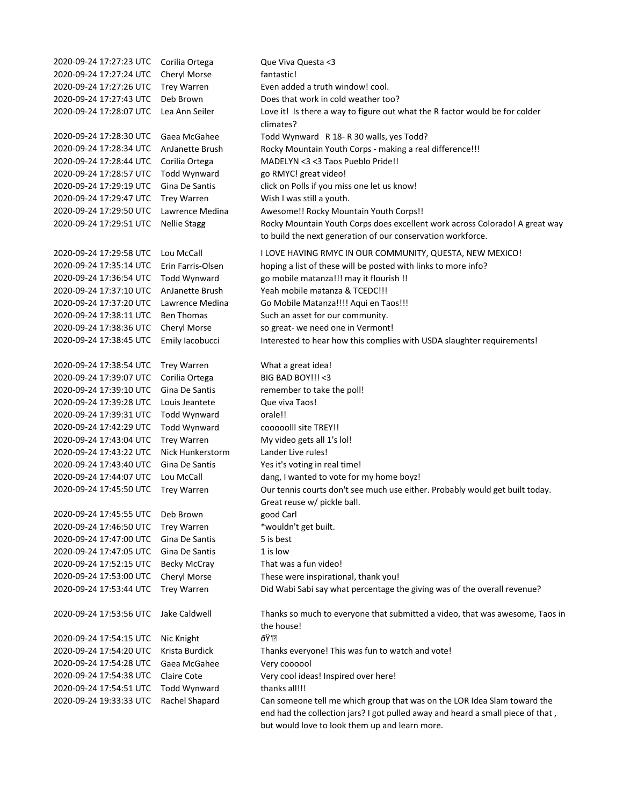| 2020-09-24 17:27:23 UTC | Corilia Ortega      | Que Viva Questa <3                                                                                                                         |
|-------------------------|---------------------|--------------------------------------------------------------------------------------------------------------------------------------------|
| 2020-09-24 17:27:24 UTC | Cheryl Morse        | fantastic!                                                                                                                                 |
| 2020-09-24 17:27:26 UTC | <b>Trey Warren</b>  | Even added a truth window! cool.                                                                                                           |
| 2020-09-24 17:27:43 UTC | Deb Brown           | Does that work in cold weather too?                                                                                                        |
| 2020-09-24 17:28:07 UTC | Lea Ann Seiler      | Love it! Is there a way to figure out what the R factor would be for colder<br>climates?                                                   |
| 2020-09-24 17:28:30 UTC | Gaea McGahee        | Todd Wynward R 18-R 30 walls, yes Todd?                                                                                                    |
| 2020-09-24 17:28:34 UTC | AnJanette Brush     | Rocky Mountain Youth Corps - making a real difference!!!                                                                                   |
| 2020-09-24 17:28:44 UTC | Corilia Ortega      | MADELYN <3 <3 Taos Pueblo Pride!!                                                                                                          |
| 2020-09-24 17:28:57 UTC | Todd Wynward        | go RMYC! great video!                                                                                                                      |
| 2020-09-24 17:29:19 UTC | Gina De Santis      | click on Polls if you miss one let us know!                                                                                                |
| 2020-09-24 17:29:47 UTC | <b>Trey Warren</b>  | Wish I was still a youth.                                                                                                                  |
| 2020-09-24 17:29:50 UTC | Lawrence Medina     | Awesome!! Rocky Mountain Youth Corps!!                                                                                                     |
| 2020-09-24 17:29:51 UTC | <b>Nellie Stagg</b> | Rocky Mountain Youth Corps does excellent work across Colorado! A great way<br>to build the next generation of our conservation workforce. |
| 2020-09-24 17:29:58 UTC | Lou McCall          | I LOVE HAVING RMYC IN OUR COMMUNITY, QUESTA, NEW MEXICO!                                                                                   |
| 2020-09-24 17:35:14 UTC | Erin Farris-Olsen   | hoping a list of these will be posted with links to more info?                                                                             |
| 2020-09-24 17:36:54 UTC | <b>Todd Wynward</b> | go mobile matanza!!! may it flourish !!                                                                                                    |
| 2020-09-24 17:37:10 UTC | AnJanette Brush     | Yeah mobile matanza & TCEDC!!!                                                                                                             |
| 2020-09-24 17:37:20 UTC | Lawrence Medina     | Go Mobile Matanza!!!! Aqui en Taos!!!                                                                                                      |
| 2020-09-24 17:38:11 UTC | <b>Ben Thomas</b>   | Such an asset for our community.                                                                                                           |
| 2020-09-24 17:38:36 UTC | Cheryl Morse        | so great- we need one in Vermont!                                                                                                          |
| 2020-09-24 17:38:45 UTC | Emily lacobucci     | Interested to hear how this complies with USDA slaughter requirements!                                                                     |
| 2020-09-24 17:38:54 UTC | <b>Trey Warren</b>  | What a great idea!                                                                                                                         |
| 2020-09-24 17:39:07 UTC | Corilia Ortega      | BIG BAD BOY!!! < 3                                                                                                                         |
| 2020-09-24 17:39:10 UTC | Gina De Santis      | remember to take the poll!                                                                                                                 |
| 2020-09-24 17:39:28 UTC | Louis Jeantete      | Que viva Taos!                                                                                                                             |
| 2020-09-24 17:39:31 UTC | Todd Wynward        | orale!!                                                                                                                                    |
| 2020-09-24 17:42:29 UTC | Todd Wynward        | cooooolll site TREY!!                                                                                                                      |
| 2020-09-24 17:43:04 UTC | <b>Trey Warren</b>  | My video gets all 1's lol!                                                                                                                 |
| 2020-09-24 17:43:22 UTC | Nick Hunkerstorm    | Lander Live rules!                                                                                                                         |
| 2020-09-24 17:43:40 UTC | Gina De Santis      | Yes it's voting in real time!                                                                                                              |
| 2020-09-24 17:44:07 UTC | Lou McCall          | dang, I wanted to vote for my home boyz!                                                                                                   |
| 2020-09-24 17:45:50 UTC | <b>Trey Warren</b>  | Our tennis courts don't see much use either. Probably would get built today.                                                               |
|                         |                     | Great reuse w/ pickle ball.                                                                                                                |
| 2020-09-24 17:45:55 UTC | Deb Brown           | good Carl                                                                                                                                  |
| 2020-09-24 17:46:50 UTC | <b>Trey Warren</b>  | *wouldn't get built.                                                                                                                       |
| 2020-09-24 17:47:00 UTC | Gina De Santis      | 5 is best                                                                                                                                  |
| 2020-09-24 17:47:05 UTC | Gina De Santis      | 1 is low                                                                                                                                   |
| 2020-09-24 17:52:15 UTC | <b>Becky McCray</b> | That was a fun video!                                                                                                                      |
| 2020-09-24 17:53:00 UTC | Cheryl Morse        | These were inspirational, thank you!                                                                                                       |
| 2020-09-24 17:53:44 UTC | <b>Trey Warren</b>  | Did Wabi Sabi say what percentage the giving was of the overall revenue?                                                                   |
| 2020-09-24 17:53:56 UTC | Jake Caldwell       | Thanks so much to everyone that submitted a video, that was awesome, Taos in<br>the house!                                                 |
| 2020-09-24 17:54:15 UTC | Nic Knight          | ðΫ'∙                                                                                                                                       |
| 2020-09-24 17:54:20 UTC | Krista Burdick      | Thanks everyone! This was fun to watch and vote!                                                                                           |
| 2020-09-24 17:54:28 UTC | Gaea McGahee        | Very coooool                                                                                                                               |
| 2020-09-24 17:54:38 UTC | Claire Cote         | Very cool ideas! Inspired over here!                                                                                                       |
| 2020-09-24 17:54:51 UTC | Todd Wynward        | thanks all!!!                                                                                                                              |
| 2020-09-24 19:33:33 UTC | Rachel Shapard      | Can someone tell me which group that was on the LOR Idea Slam toward the                                                                   |
|                         |                     | end had the collection jars? I got pulled away and heard a small piece of that,                                                            |
|                         |                     | but would love to look them up and learn more.                                                                                             |